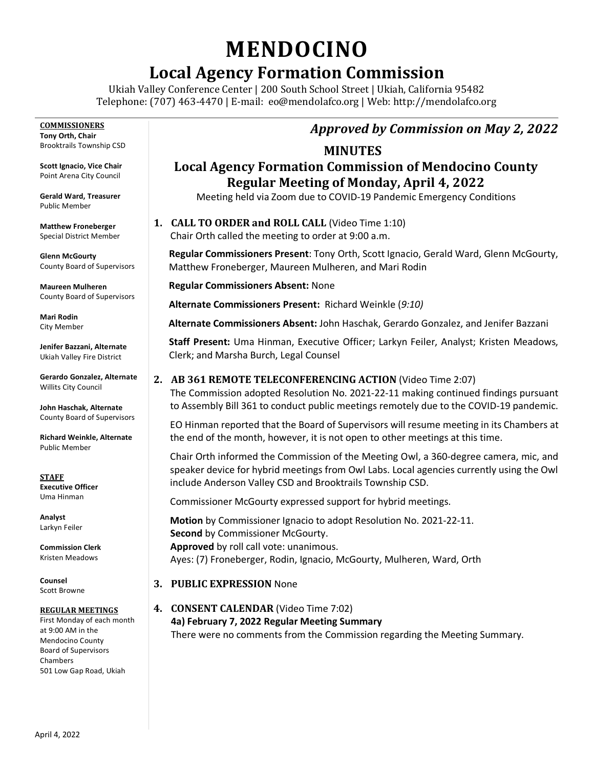# **MENDOCINO**

# **Local Agency Formation Commission**

Ukiah Valley Conference Center | 200 South School Street | Ukiah, California 95482 Telephone: (707) 463-4470 | E-mail: [eo@mendolafco.org](mailto:eo@mendolafco.org) | Web: http://mendolafco.org

**COMMISSIONERS Tony Orth, Chair** Brooktrails Township CSD

**Scott Ignacio, Vice Chair** Point Arena City Council

**Gerald Ward, Treasurer** Public Member

**Matthew Froneberger** Special District Member

**Glenn McGourty** County Board of Supervisors

**Maureen Mulheren** County Board of Supervisors

**Mari Rodin** City Member

**Jenifer Bazzani, Alternate** Ukiah Valley Fire District

**Gerardo Gonzalez, Alternate** Willits City Council

**John Haschak, Alternate** County Board of Supervisors

**Richard Weinkle, Alternate** Public Member

**STAFF Executive Officer** Uma Hinman

**Analyst** Larkyn Feiler

**Commission Clerk** Kristen Meadows

**Counsel** Scott Browne

#### **REGULAR MEETINGS**

First Monday of each month at 9:00 AM in the Mendocino County Board of Supervisors Chambers 501 Low Gap Road, Ukiah

# *Approved by Commission on May 2, 2022*

#### **MINUTES**

## **Local Agency Formation Commission of Mendocino County Regular Meeting of Monday, April 4, 2022**

Meeting held via Zoom due to COVID-19 Pandemic Emergency Conditions

### **1. CALL TO ORDER and ROLL CALL** (Video Time 1:10)

Chair Orth called the meeting to order at 9:00 a.m.

**Regular Commissioners Present**: Tony Orth, Scott Ignacio, Gerald Ward, Glenn McGourty, Matthew Froneberger, Maureen Mulheren, and Mari Rodin

**Regular Commissioners Absent:** None

**Alternate Commissioners Present:** Richard Weinkle (*9:10)*

**Alternate Commissioners Absent:** John Haschak, Gerardo Gonzalez, and Jenifer Bazzani

**Staff Present:** Uma Hinman, Executive Officer; Larkyn Feiler, Analyst; Kristen Meadows, Clerk; and Marsha Burch, Legal Counsel

#### **2. AB 361 REMOTE TELECONFERENCING ACTION** (Video Time 2:07)

The Commission adopted Resolution No. 2021-22-11 making continued findings pursuant to Assembly Bill 361 to conduct public meetings remotely due to the COVID-19 pandemic.

EO Hinman reported that the Board of Supervisors will resume meeting in its Chambers at the end of the month, however, it is not open to other meetings at this time.

Chair Orth informed the Commission of the Meeting Owl, a 360-degree camera, mic, and speaker device for hybrid meetings from Owl Labs. Local agencies currently using the Owl include Anderson Valley CSD and Brooktrails Township CSD.

Commissioner McGourty expressed support for hybrid meetings.

**Motion** by Commissioner Ignacio to adopt Resolution No. 2021-22-11.  **Second** by Commissioner McGourty.  **Approved** by roll call vote: unanimous. Ayes: (7) Froneberger, Rodin, Ignacio, McGourty, Mulheren, Ward, Orth

#### **3. PUBLIC EXPRESSION** None

**4. CONSENT CALENDAR** (Video Time 7:02) **4a) February 7, 2022 Regular Meeting Summary**  There were no comments from the Commission regarding the Meeting Summary.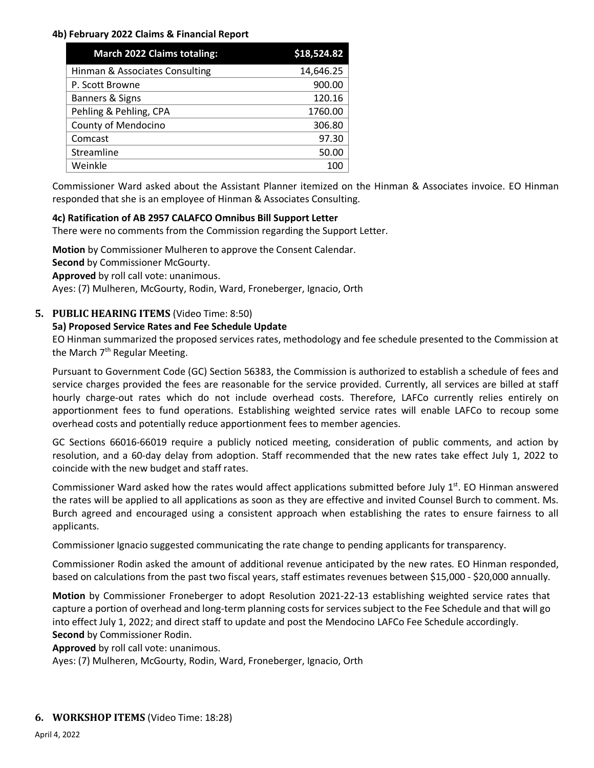#### **4b) February 2022 Claims & Financial Report**

| <b>March 2022 Claims totaling:</b> | \$18,524.82 |
|------------------------------------|-------------|
| Hinman & Associates Consulting     | 14,646.25   |
| P. Scott Browne                    | 900.00      |
| Banners & Signs                    | 120.16      |
| Pehling & Pehling, CPA             | 1760.00     |
| County of Mendocino                | 306.80      |
| Comcast                            | 97.30       |
| Streamline                         | 50.00       |
| Weinkle                            | 100         |

Commissioner Ward asked about the Assistant Planner itemized on the Hinman & Associates invoice. EO Hinman responded that she is an employee of Hinman & Associates Consulting.

#### **4c) Ratification of AB 2957 CALAFCO Omnibus Bill Support Letter**

There were no comments from the Commission regarding the Support Letter.

**Motion** by Commissioner Mulheren to approve the Consent Calendar. **Second** by Commissioner McGourty. **Approved** by roll call vote: unanimous. Ayes: (7) Mulheren, McGourty, Rodin, Ward, Froneberger, Ignacio, Orth

#### **5. PUBLIC HEARING ITEMS** (Video Time: 8:50)

#### **5a) Proposed Service Rates and Fee Schedule Update**

EO Hinman summarized the proposed services rates, methodology and fee schedule presented to the Commission at the March  $7<sup>th</sup>$  Regular Meeting.

Pursuant to Government Code (GC) Section 56383, the Commission is authorized to establish a schedule of fees and service charges provided the fees are reasonable for the service provided. Currently, all services are billed at staff hourly charge-out rates which do not include overhead costs. Therefore, LAFCo currently relies entirely on apportionment fees to fund operations. Establishing weighted service rates will enable LAFCo to recoup some overhead costs and potentially reduce apportionment fees to member agencies.

GC Sections 66016-66019 require a publicly noticed meeting, consideration of public comments, and action by resolution, and a 60-day delay from adoption. Staff recommended that the new rates take effect July 1, 2022 to coincide with the new budget and staff rates.

Commissioner Ward asked how the rates would affect applications submitted before July  $1<sup>st</sup>$ . EO Hinman answered the rates will be applied to all applications as soon as they are effective and invited Counsel Burch to comment. Ms. Burch agreed and encouraged using a consistent approach when establishing the rates to ensure fairness to all applicants.

Commissioner Ignacio suggested communicating the rate change to pending applicants for transparency.

Commissioner Rodin asked the amount of additional revenue anticipated by the new rates. EO Hinman responded, based on calculations from the past two fiscal years, staff estimates revenues between \$15,000 - \$20,000 annually.

**Motion** by Commissioner Froneberger to adopt Resolution 2021-22-13 establishing weighted service rates that capture a portion of overhead and long-term planning costs for services subject to the Fee Schedule and that will go into effect July 1, 2022; and direct staff to update and post the Mendocino LAFCo Fee Schedule accordingly. **Second** by Commissioner Rodin.

**Approved** by roll call vote: unanimous.

Ayes: (7) Mulheren, McGourty, Rodin, Ward, Froneberger, Ignacio, Orth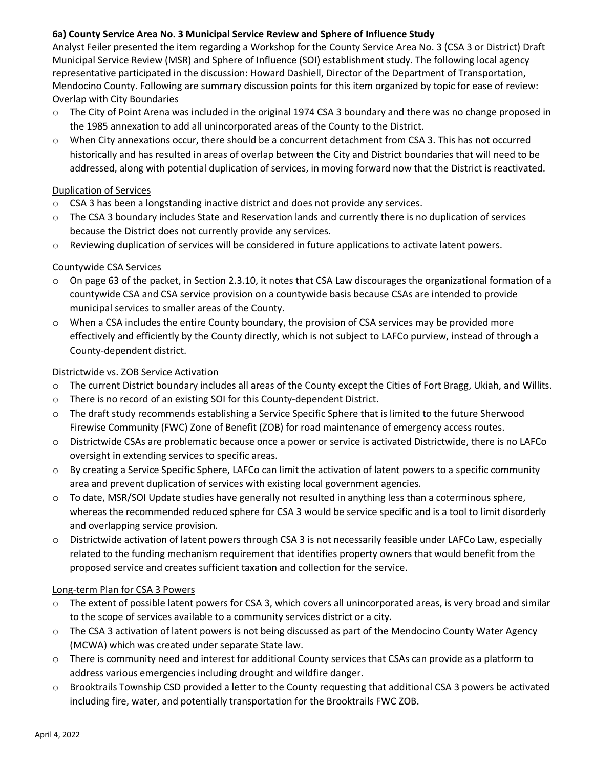#### **6a) County Service Area No. 3 Municipal Service Review and Sphere of Influence Study**

Analyst Feiler presented the item regarding a Workshop for the County Service Area No. 3 (CSA 3 or District) Draft Municipal Service Review (MSR) and Sphere of Influence (SOI) establishment study. The following local agency representative participated in the discussion: Howard Dashiell, Director of the Department of Transportation, Mendocino County. Following are summary discussion points for this item organized by topic for ease of review: Overlap with City Boundaries

- o The City of Point Arena was included in the original 1974 CSA 3 boundary and there was no change proposed in the 1985 annexation to add all unincorporated areas of the County to the District.
- o When City annexations occur, there should be a concurrent detachment from CSA 3. This has not occurred historically and has resulted in areas of overlap between the City and District boundaries that will need to be addressed, along with potential duplication of services, in moving forward now that the District is reactivated.

#### Duplication of Services

- o CSA 3 has been a longstanding inactive district and does not provide any services.
- $\circ$  The CSA 3 boundary includes State and Reservation lands and currently there is no duplication of services because the District does not currently provide any services.
- o Reviewing duplication of services will be considered in future applications to activate latent powers.

#### Countywide CSA Services

- o On page 63 of the packet, in Section 2.3.10, it notes that CSA Law discourages the organizational formation of a countywide CSA and CSA service provision on a countywide basis because CSAs are intended to provide municipal services to smaller areas of the County.
- $\circ$  When a CSA includes the entire County boundary, the provision of CSA services may be provided more effectively and efficiently by the County directly, which is not subject to LAFCo purview, instead of through a County-dependent district.

#### Districtwide vs. ZOB Service Activation

- o The current District boundary includes all areas of the County except the Cities of Fort Bragg, Ukiah, and Willits.
- o There is no record of an existing SOI for this County-dependent District.
- o The draft study recommends establishing a Service Specific Sphere that is limited to the future Sherwood Firewise Community (FWC) Zone of Benefit (ZOB) for road maintenance of emergency access routes.
- o Districtwide CSAs are problematic because once a power or service is activated Districtwide, there is no LAFCo oversight in extending services to specific areas.
- o By creating a Service Specific Sphere, LAFCo can limit the activation of latent powers to a specific community area and prevent duplication of services with existing local government agencies.
- o To date, MSR/SOI Update studies have generally not resulted in anything less than a coterminous sphere, whereas the recommended reduced sphere for CSA 3 would be service specific and is a tool to limit disorderly and overlapping service provision.
- o Districtwide activation of latent powers through CSA 3 is not necessarily feasible under LAFCo Law, especially related to the funding mechanism requirement that identifies property owners that would benefit from the proposed service and creates sufficient taxation and collection for the service.

#### Long-term Plan for CSA 3 Powers

- The extent of possible latent powers for CSA 3, which covers all unincorporated areas, is very broad and similar to the scope of services available to a community services district or a city.
- o The CSA 3 activation of latent powers is not being discussed as part of the Mendocino County Water Agency (MCWA) which was created under separate State law.
- o There is community need and interest for additional County services that CSAs can provide as a platform to address various emergencies including drought and wildfire danger.
- o Brooktrails Township CSD provided a letter to the County requesting that additional CSA 3 powers be activated including fire, water, and potentially transportation for the Brooktrails FWC ZOB.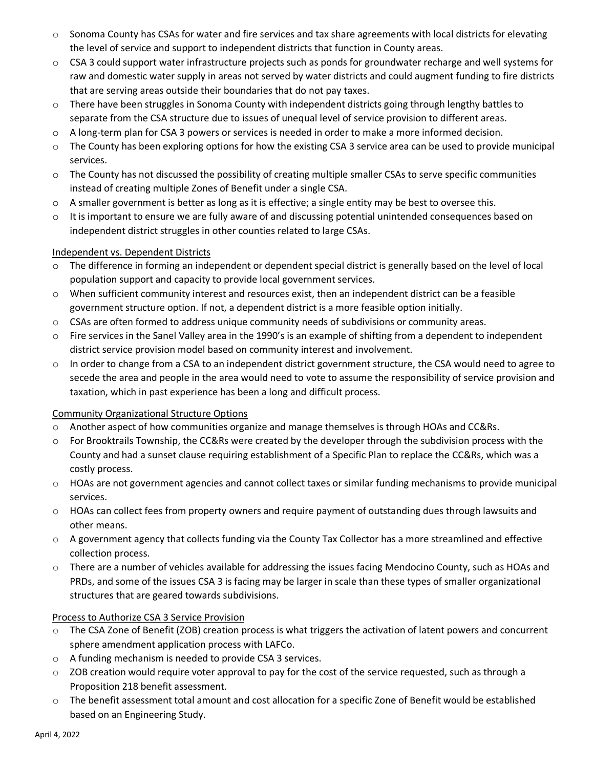- $\circ$  Sonoma County has CSAs for water and fire services and tax share agreements with local districts for elevating the level of service and support to independent districts that function in County areas.
- o CSA 3 could support water infrastructure projects such as ponds for groundwater recharge and well systems for raw and domestic water supply in areas not served by water districts and could augment funding to fire districts that are serving areas outside their boundaries that do not pay taxes.
- o There have been struggles in Sonoma County with independent districts going through lengthy battles to separate from the CSA structure due to issues of unequal level of service provision to different areas.
- o A long-term plan for CSA 3 powers or services is needed in order to make a more informed decision.
- o The County has been exploring options for how the existing CSA 3 service area can be used to provide municipal services.
- o The County has not discussed the possibility of creating multiple smaller CSAs to serve specific communities instead of creating multiple Zones of Benefit under a single CSA.
- o A smaller government is better as long as it is effective; a single entity may be best to oversee this.
- $\circ$  It is important to ensure we are fully aware of and discussing potential unintended consequences based on independent district struggles in other counties related to large CSAs.

#### Independent vs. Dependent Districts

- o The difference in forming an independent or dependent special district is generally based on the level of local population support and capacity to provide local government services.
- o When sufficient community interest and resources exist, then an independent district can be a feasible government structure option. If not, a dependent district is a more feasible option initially.
- o CSAs are often formed to address unique community needs of subdivisions or community areas.
- o Fire services in the Sanel Valley area in the 1990's is an example of shifting from a dependent to independent district service provision model based on community interest and involvement.
- o In order to change from a CSA to an independent district government structure, the CSA would need to agree to secede the area and people in the area would need to vote to assume the responsibility of service provision and taxation, which in past experience has been a long and difficult process.

#### Community Organizational Structure Options

- o Another aspect of how communities organize and manage themselves is through HOAs and CC&Rs.
- o For Brooktrails Township, the CC&Rs were created by the developer through the subdivision process with the County and had a sunset clause requiring establishment of a Specific Plan to replace the CC&Rs, which was a costly process.
- o HOAs are not government agencies and cannot collect taxes or similar funding mechanisms to provide municipal services.
- o HOAs can collect fees from property owners and require payment of outstanding dues through lawsuits and other means.
- o A government agency that collects funding via the County Tax Collector has a more streamlined and effective collection process.
- o There are a number of vehicles available for addressing the issues facing Mendocino County, such as HOAs and PRDs, and some of the issues CSA 3 is facing may be larger in scale than these types of smaller organizational structures that are geared towards subdivisions.

#### Process to Authorize CSA 3 Service Provision

- o The CSA Zone of Benefit (ZOB) creation process is what triggers the activation of latent powers and concurrent sphere amendment application process with LAFCo.
- o A funding mechanism is needed to provide CSA 3 services.
- $\circ$  ZOB creation would require voter approval to pay for the cost of the service requested, such as through a Proposition 218 benefit assessment.
- o The benefit assessment total amount and cost allocation for a specific Zone of Benefit would be established based on an Engineering Study.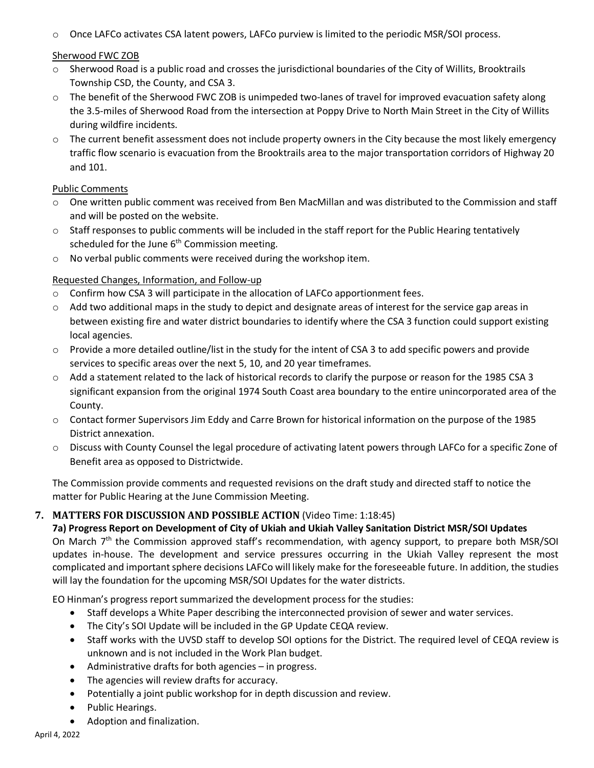o Once LAFCo activates CSA latent powers, LAFCo purview is limited to the periodic MSR/SOI process.

#### Sherwood FWC ZOB

- o Sherwood Road is a public road and crosses the jurisdictional boundaries of the City of Willits, Brooktrails Township CSD, the County, and CSA 3.
- o The benefit of the Sherwood FWC ZOB is unimpeded two-lanes of travel for improved evacuation safety along the 3.5-miles of Sherwood Road from the intersection at Poppy Drive to North Main Street in the City of Willits during wildfire incidents.
- o The current benefit assessment does not include property owners in the City because the most likely emergency traffic flow scenario is evacuation from the Brooktrails area to the major transportation corridors of Highway 20 and 101.

#### Public Comments

- o One written public comment was received from Ben MacMillan and was distributed to the Commission and staff and will be posted on the website.
- $\circ$  Staff responses to public comments will be included in the staff report for the Public Hearing tentatively scheduled for the June  $6<sup>th</sup>$  Commission meeting.
- o No verbal public comments were received during the workshop item.

#### Requested Changes, Information, and Follow-up

- o Confirm how CSA 3 will participate in the allocation of LAFCo apportionment fees.
- $\circ$  Add two additional maps in the study to depict and designate areas of interest for the service gap areas in between existing fire and water district boundaries to identify where the CSA 3 function could support existing local agencies.
- o Provide a more detailed outline/list in the study for the intent of CSA 3 to add specific powers and provide services to specific areas over the next 5, 10, and 20 year timeframes.
- o Add a statement related to the lack of historical records to clarify the purpose or reason for the 1985 CSA 3 significant expansion from the original 1974 South Coast area boundary to the entire unincorporated area of the County.
- o Contact former Supervisors Jim Eddy and Carre Brown for historical information on the purpose of the 1985 District annexation.
- o Discuss with County Counsel the legal procedure of activating latent powers through LAFCo for a specific Zone of Benefit area as opposed to Districtwide.

The Commission provide comments and requested revisions on the draft study and directed staff to notice the matter for Public Hearing at the June Commission Meeting.

#### **7. MATTERS FOR DISCUSSION AND POSSIBLE ACTION** (Video Time: 1:18:45)

#### **7a) Progress Report on Development of City of Ukiah and Ukiah Valley Sanitation District MSR/SOI Updates** On March  $7<sup>th</sup>$  the Commission approved staff's recommendation, with agency support, to prepare both MSR/SOI updates in-house. The development and service pressures occurring in the Ukiah Valley represent the most complicated and important sphere decisions LAFCo will likely make for the foreseeable future. In addition, the studies will lay the foundation for the upcoming MSR/SOI Updates for the water districts.

EO Hinman's progress report summarized the development process for the studies:

- Staff develops a White Paper describing the interconnected provision of sewer and water services.
- The City's SOI Update will be included in the GP Update CEQA review.
- Staff works with the UVSD staff to develop SOI options for the District. The required level of CEQA review is unknown and is not included in the Work Plan budget.
- Administrative drafts for both agencies in progress.
- The agencies will review drafts for accuracy.
- Potentially a joint public workshop for in depth discussion and review.
- Public Hearings.
- Adoption and finalization.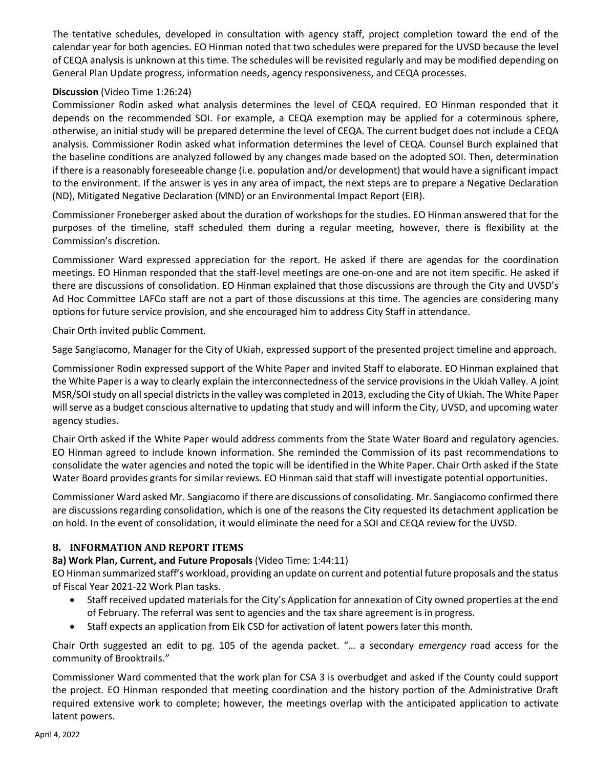The tentative schedules, developed in consultation with agency staff, project completion toward the end of the calendar year for both agencies. EO Hinman noted that two schedules were prepared for the UVSD because the level of CEQA analysis is unknown at this time. The schedules will be revisited regularly and may be modified depending on General Plan Update progress, information needs, agency responsiveness, and CEQA processes.

#### **Discussion** (Video Time 1:26:24)

Commissioner Rodin asked what analysis determines the level of CEQA required. EO Hinman responded that it depends on the recommended SOI. For example, a CEQA exemption may be applied for a coterminous sphere, otherwise, an initial study will be prepared determine the level of CEQA. The current budget does not include a CEQA analysis. Commissioner Rodin asked what information determines the level of CEQA. Counsel Burch explained that the baseline conditions are analyzed followed by any changes made based on the adopted SOI. Then, determination if there is a reasonably foreseeable change (i.e. population and/or development) that would have a significant impact to the environment. If the answer is yes in any area of impact, the next steps are to prepare a Negative Declaration (ND), Mitigated Negative Declaration (MND) or an Environmental Impact Report (EIR).

Commissioner Froneberger asked about the duration of workshops for the studies. EO Hinman answered that for the purposes of the timeline, staff scheduled them during a regular meeting, however, there is flexibility at the Commission's discretion.

Commissioner Ward expressed appreciation for the report. He asked if there are agendas for the coordination meetings. EO Hinman responded that the staff-level meetings are one-on-one and are not item specific. He asked if there are discussions of consolidation. EO Hinman explained that those discussions are through the City and UVSD's Ad Hoc Committee LAFCo staff are not a part of those discussions at this time. The agencies are considering many options for future service provision, and she encouraged him to address City Staff in attendance.

Chair Orth invited public Comment.

Sage Sangiacomo, Manager for the City of Ukiah, expressed support of the presented project timeline and approach.

Commissioner Rodin expressed support of the White Paper and invited Staff to elaborate. EO Hinman explained that the White Paper is a way to clearly explain the interconnectedness of the service provisions in the Ukiah Valley. A joint MSR/SOI study on all special districts in the valley was completed in 2013, excluding the City of Ukiah. The White Paper will serve as a budget conscious alternative to updating that study and will inform the City, UVSD, and upcoming water agency studies.

Chair Orth asked if the White Paper would address comments from the State Water Board and regulatory agencies. EO Hinman agreed to include known information. She reminded the Commission of its past recommendations to consolidate the water agencies and noted the topic will be identified in the White Paper. Chair Orth asked if the State Water Board provides grants for similar reviews. EO Hinman said that staff will investigate potential opportunities.

Commissioner Ward asked Mr. Sangiacomo if there are discussions of consolidating. Mr. Sangiacomo confirmed there are discussions regarding consolidation, which is one of the reasons the City requested its detachment application be on hold. In the event of consolidation, it would eliminate the need for a SOI and CEQA review for the UVSD.

#### **8. INFORMATION AND REPORT ITEMS**

#### **8a) Work Plan, Current, and Future Proposals** (Video Time: 1:44:11)

EO Hinman summarized staff's workload, providing an update on current and potential future proposals and the status of Fiscal Year 2021-22 Work Plan tasks.

- Staff received updated materials for the City's Application for annexation of City owned properties at the end of February. The referral was sent to agencies and the tax share agreement is in progress.
- Staff expects an application from Elk CSD for activation of latent powers later this month.

Chair Orth suggested an edit to pg. 105 of the agenda packet. "… a secondary *emergency* road access for the community of Brooktrails."

Commissioner Ward commented that the work plan for CSA 3 is overbudget and asked if the County could support the project. EO Hinman responded that meeting coordination and the history portion of the Administrative Draft required extensive work to complete; however, the meetings overlap with the anticipated application to activate latent powers.